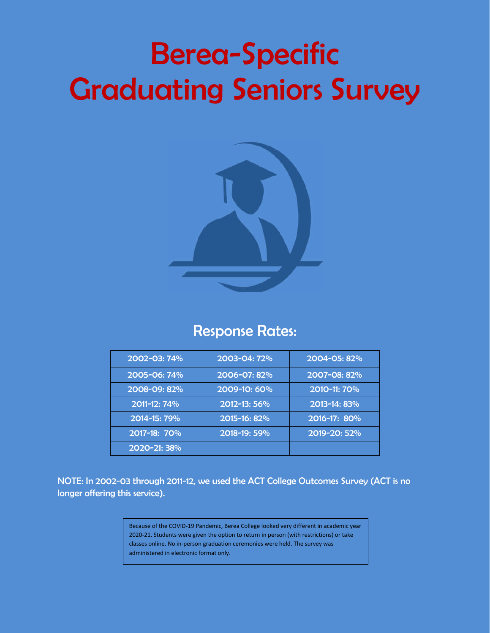# Berea-Specific Graduating Seniors Survey



## Response Rates:

| 2002-03: 74% | 2003-04: 72% | 2004-05: 82% |
|--------------|--------------|--------------|
| 2005-06: 74% | 2006-07: 82% | 2007-08: 82% |
| 2008-09: 82% | 2009-10: 60% | 2010-11: 70% |
| 2011-12: 74% | 2012-13: 56% | 2013-14: 83% |
| 2014-15: 79% | 2015-16: 82% | 2016-17: 80% |
| 2017-18: 70% | 2018-19: 59% | 2019-20: 52% |
| 2020-21: 38% |              |              |

NOTE: In 2002-03 through 2011-12, we used the ACT College Outcomes Survey (ACT is no longer offering this service).

> Because of the COVID-19 Pandemic, Berea College looked very different in academic year 2020-21. Students were given the option to return in person (with restrictions) or take classes online. No in-person graduation ceremonies were held. The survey was administered in electronic format only.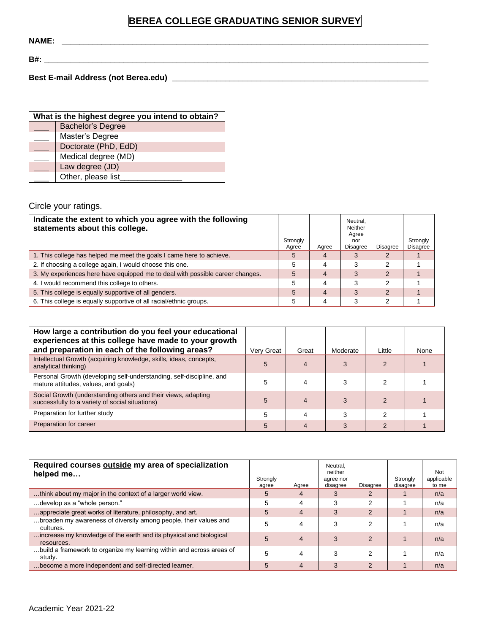## **BEREA COLLEGE GRADUATING SENIOR SURVEY**

**NAME: \_\_\_\_\_\_\_\_\_\_\_\_\_\_\_\_\_\_\_\_\_\_\_\_\_\_\_\_\_\_\_\_\_\_\_\_\_\_\_\_\_\_\_\_\_\_\_\_\_\_\_\_\_\_\_\_\_\_\_\_\_\_\_\_\_\_\_\_\_\_\_\_\_\_\_\_\_\_\_\_\_\_\_**

**B#: \_\_\_\_\_\_\_\_\_\_\_\_\_\_\_\_\_\_\_\_\_\_\_\_\_\_\_\_\_\_\_\_\_\_\_\_\_\_\_\_\_\_\_\_\_\_\_\_\_\_\_\_\_\_\_\_\_\_\_\_\_\_\_\_\_\_\_\_\_\_\_\_\_\_\_\_\_\_\_\_\_\_\_\_\_\_\_**

**Best E-mail Address (not Berea.edu) \_\_\_\_\_\_\_\_\_\_\_\_\_\_\_\_\_\_\_\_\_\_\_\_\_\_\_\_\_\_\_\_\_\_\_\_\_\_\_\_\_\_\_\_\_\_\_\_\_\_\_\_\_\_\_\_\_\_**

| What is the highest degree you intend to obtain? |  |  |  |  |  |  |  |
|--------------------------------------------------|--|--|--|--|--|--|--|
| <b>Bachelor's Degree</b>                         |  |  |  |  |  |  |  |
| Master's Degree                                  |  |  |  |  |  |  |  |
| Doctorate (PhD, EdD)                             |  |  |  |  |  |  |  |
| Medical degree (MD)                              |  |  |  |  |  |  |  |
| Law degree (JD)                                  |  |  |  |  |  |  |  |
| Other, please list_                              |  |  |  |  |  |  |  |

Circle your ratings.

| Indicate the extent to which you agree with the following<br>statements about this college. | Strongly<br>Agree | Aaree          | Neutral.<br>Neither<br>Agree<br>nor<br>Disagree | <b>Disagree</b> | Strongly<br><b>Disagree</b> |
|---------------------------------------------------------------------------------------------|-------------------|----------------|-------------------------------------------------|-----------------|-----------------------------|
| 1. This college has helped me meet the goals I came here to achieve.                        | $\overline{5}$    | 4              |                                                 |                 |                             |
| 2. If choosing a college again, I would choose this one.                                    | 5                 | 4              | 3                                               | っ               |                             |
| 3. My experiences here have equipped me to deal with possible career changes.               | 5                 | $\overline{4}$ | 3                                               | $\mathcal{P}$   |                             |
| 4. I would recommend this college to others.                                                | 5                 | 4              | 3                                               | າ               |                             |
| 5. This college is equally supportive of all genders.                                       | 5                 | 4              | 3                                               | $\mathcal{P}$   |                             |
| 6. This college is equally supportive of all racial/ethnic groups.                          | 5                 | 4              | Э                                               | ົ               |                             |

| How large a contribution do you feel your educational<br>experiences at this college have made to your growth<br>and preparation in each of the following areas? | Very Great | Great | Moderate | Little        | None |
|------------------------------------------------------------------------------------------------------------------------------------------------------------------|------------|-------|----------|---------------|------|
| Intellectual Growth (acquiring knowledge, skills, ideas, concepts,<br>analytical thinking)                                                                       | 5          | 4     | 3        |               |      |
| Personal Growth (developing self-understanding, self-discipline, and<br>mature attitudes, values, and goals)                                                     | 5          |       |          |               |      |
| Social Growth (understanding others and their views, adapting<br>successfully to a variety of social situations)                                                 | 5          | 4     |          |               |      |
| Preparation for further study                                                                                                                                    |            |       | 3        | っ             |      |
| Preparation for career                                                                                                                                           |            |       |          | $\mathcal{P}$ |      |

| Required courses outside my area of specialization<br>helped me                  | Strongly<br>agree | Agree          | Neutral,<br>neither<br>agree nor<br>disagree | <b>Disagree</b> | Strongly<br>disagree | Not<br>applicable<br>to me |
|----------------------------------------------------------------------------------|-------------------|----------------|----------------------------------------------|-----------------|----------------------|----------------------------|
| think about my major in the context of a larger world view.                      | 5                 | 4              | 3                                            | 2               |                      | n/a                        |
| develop as a "whole person."                                                     | 5                 | 4              | 3                                            | 2               |                      | n/a                        |
| appreciate great works of literature, philosophy, and art.                       | 5                 | $\overline{4}$ | 3                                            | $\overline{2}$  |                      | n/a                        |
| broaden my awareness of diversity among people, their values and<br>cultures.    | 5                 | 4              | 3                                            | 2               |                      | n/a                        |
| increase my knowledge of the earth and its physical and biological<br>resources. | 5                 | 4              | 3                                            | $\mathcal{P}$   |                      | n/a                        |
| build a framework to organize my learning within and across areas of<br>study.   | 5                 | 4              | 3                                            | 2               |                      | n/a                        |
| become a more independent and self-directed learner.                             | 5                 | 4              | 3                                            | $\overline{2}$  |                      | n/a                        |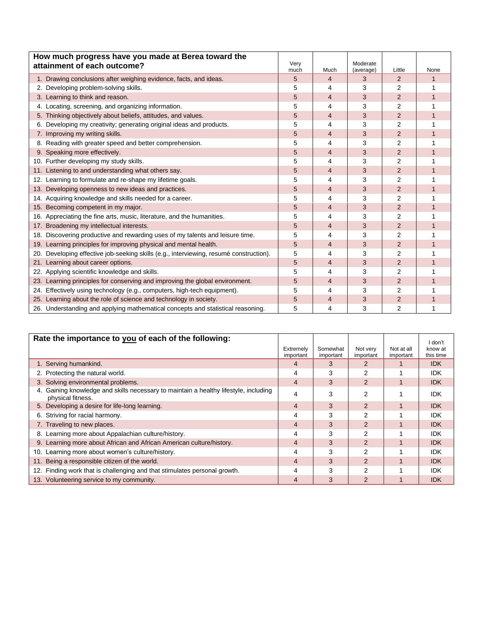| How much progress have you made at Berea toward the<br>attainment of each outcome?                         | Very      |                | Moderate       |                |           |
|------------------------------------------------------------------------------------------------------------|-----------|----------------|----------------|----------------|-----------|
|                                                                                                            | much<br>5 | Much<br>4      | (average)<br>3 | Little<br>2    | None<br>1 |
| 1. Drawing conclusions after weighing evidence, facts, and ideas.<br>2. Developing problem-solving skills. | 5         | 4              | 3              | 2              | 1         |
|                                                                                                            |           |                |                |                |           |
| 3. Learning to think and reason.                                                                           | 5         | 4              | 3              | 2              | 1         |
| 4. Locating, screening, and organizing information.                                                        | 5         | 4              | 3              | 2              | 1         |
| 5. Thinking objectively about beliefs, attitudes, and values.                                              | 5         | 4              | 3              | $\overline{2}$ | 1         |
| 6. Developing my creativity; generating original ideas and products.                                       | 5         | 4              | 3              | $\overline{2}$ |           |
| 7. Improving my writing skills.                                                                            | 5         | $\overline{4}$ | 3              | $\overline{2}$ | 1         |
| 8. Reading with greater speed and better comprehension.                                                    | 5         | 4              | 3              | 2              | 1         |
| 9. Speaking more effectively.                                                                              | 5         | $\overline{4}$ | 3              | $\overline{2}$ |           |
| 10. Further developing my study skills.                                                                    | 5         | 4              | 3              | 2              | 1         |
| 11. Listening to and understanding what others say.                                                        | 5         | $\overline{4}$ | 3              | $\overline{2}$ | 1         |
| 12. Learning to formulate and re-shape my lifetime goals.                                                  | 5         | 4              | 3              | 2              |           |
| 13. Developing openness to new ideas and practices.                                                        | 5         | 4              | 3              | 2              |           |
| 14. Acquiring knowledge and skills needed for a career.                                                    | 5         | 4              | 3              | $\overline{2}$ | 1         |
| 15. Becoming competent in my major.                                                                        | 5         | $\overline{4}$ | 3              | $\overline{2}$ | 1         |
| 16. Appreciating the fine arts, music, literature, and the humanities.                                     | 5         | 4              | 3              | 2              |           |
| 17. Broadening my intellectual interests.                                                                  | 5         | $\overline{4}$ | 3              | $\overline{2}$ | 1         |
| Discovering productive and rewarding uses of my talents and leisure time.<br>18.                           | 5         | 4              | 3              | $\overline{2}$ | 1         |
| 19. Learning principles for improving physical and mental health.                                          | 5         | 4              | 3              | $\overline{2}$ |           |
| 20. Developing effective job-seeking skills (e.g., interviewing, resumé construction).                     | 5         | 4              | 3              | $\overline{2}$ |           |
| Learning about career options.<br>21.                                                                      | 5         | $\overline{4}$ | 3              | $\overline{2}$ | 1         |
| 22. Applying scientific knowledge and skills.                                                              | 5         | 4              | 3              | $\overline{2}$ |           |
| 23. Learning principles for conserving and improving the global environment.                               | 5         | $\overline{4}$ | 3              | $\overline{2}$ | 1         |
| 24. Effectively using technology (e.g., computers, high-tech equipment).                                   | 5         | 4              | 3              | $\overline{2}$ |           |
| 25. Learning about the role of science and technology in society.                                          | 5         | 4              | 3              | $\overline{2}$ | 1         |
| 26. Understanding and applying mathematical concepts and statistical reasoning.                            | 5         | 4              | 3              | 2              | 1         |

| Rate the importance to you of each of the following:                                                         |                        |                       |                       |                         | I don't              |
|--------------------------------------------------------------------------------------------------------------|------------------------|-----------------------|-----------------------|-------------------------|----------------------|
|                                                                                                              | Extremely<br>important | Somewhat<br>important | Not very<br>important | Not at all<br>important | know at<br>this time |
| 1. Serving humankind.                                                                                        | 4                      | 3                     |                       |                         | <b>IDK</b>           |
| 2. Protecting the natural world.                                                                             | 4                      | 3                     | 2                     |                         | <b>IDK</b>           |
| 3. Solving environmental problems.                                                                           | $\overline{4}$         | 3                     | $\overline{2}$        |                         | <b>IDK</b>           |
| Gaining knowledge and skills necessary to maintain a healthy lifestyle, including<br>4.<br>physical fitness. | 4                      | 3                     | 2                     |                         | <b>IDK</b>           |
| 5. Developing a desire for life-long learning.                                                               | $\overline{4}$         | 3                     | 2                     |                         | <b>IDK</b>           |
| 6. Striving for racial harmony.                                                                              | 4                      | 3                     | 2                     |                         | <b>IDK</b>           |
| 7. Traveling to new places.                                                                                  | 4                      | 3                     | $\overline{2}$        |                         | <b>IDK</b>           |
| 8. Learning more about Appalachian culture/history.                                                          | 4                      | 3                     | 2                     |                         | <b>IDK</b>           |
| 9. Learning more about African and African American culture/history.                                         | $\overline{4}$         | 3                     | $\mathfrak{p}$        |                         | <b>IDK</b>           |
| 10. Learning more about women's culture/history.                                                             | 4                      | 3                     | 2                     |                         | <b>IDK</b>           |
| 11. Being a responsible citizen of the world.                                                                | $\overline{4}$         | 3                     | $\overline{2}$        |                         | <b>IDK</b>           |
| 12. Finding work that is challenging and that stimulates personal growth.                                    | 4                      | 3                     | 2                     |                         | <b>IDK</b>           |
| 13. Volunteering service to my community.                                                                    | 4                      | 3                     | $\overline{2}$        |                         | <b>IDK</b>           |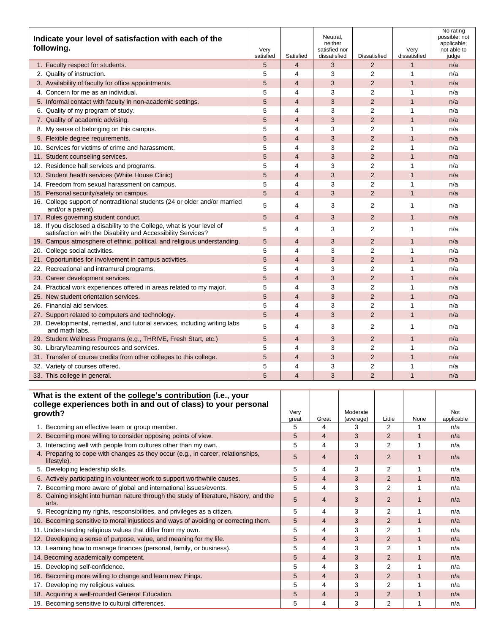| Indicate your level of satisfaction with each of the<br>following.                                                                      | Very<br>satisfied | Satisfied      | Neutral,<br>neither<br>satisfied nor<br>dissatisfied | <b>Dissatisfied</b> | Very<br>dissatisfied | No rating<br>possible; not<br>applicable;<br>not able to<br>judge |
|-----------------------------------------------------------------------------------------------------------------------------------------|-------------------|----------------|------------------------------------------------------|---------------------|----------------------|-------------------------------------------------------------------|
| 1. Faculty respect for students.                                                                                                        | 5                 | $\overline{4}$ | 3                                                    | $\overline{2}$      | $\mathbf{1}$         | n/a                                                               |
| 2. Quality of instruction.                                                                                                              | 5                 | 4              | 3                                                    | 2                   | 1                    | n/a                                                               |
| 3. Availability of faculty for office appointments.                                                                                     | 5                 | 4              | 3                                                    | $\overline{2}$      | $\mathbf{1}$         | n/a                                                               |
| 4. Concern for me as an individual.                                                                                                     | 5                 | 4              | 3                                                    | $\overline{2}$      | 1                    | n/a                                                               |
| 5. Informal contact with faculty in non-academic settings.                                                                              | 5                 | $\overline{4}$ | 3                                                    | $\overline{2}$      | 1                    | n/a                                                               |
| 6. Quality of my program of study.                                                                                                      | 5                 | 4              | 3                                                    | $\overline{2}$      | 1                    | n/a                                                               |
| 7. Quality of academic advising.                                                                                                        | 5                 | 4              | 3                                                    | 2                   | 1                    | n/a                                                               |
| 8. My sense of belonging on this campus.                                                                                                | 5                 | 4              | 3                                                    | $\overline{2}$      | 1                    | n/a                                                               |
| 9. Flexible degree requirements.                                                                                                        | 5                 | $\overline{4}$ | 3                                                    | $\overline{2}$      | $\mathbf{1}$         | n/a                                                               |
| 10. Services for victims of crime and harassment.                                                                                       | 5                 | 4              | 3                                                    | $\overline{2}$      | 1                    | n/a                                                               |
| 11. Student counseling services.                                                                                                        | 5                 | $\overline{4}$ | 3                                                    | $\overline{2}$      | $\mathbf{1}$         | n/a                                                               |
| 12. Residence hall services and programs.                                                                                               | 5                 | 4              | 3                                                    | $\overline{2}$      | 1                    | n/a                                                               |
| 13. Student health services (White House Clinic)                                                                                        | 5                 | 4              | 3                                                    | $\overline{2}$      | $\mathbf{1}$         | n/a                                                               |
| 14. Freedom from sexual harassment on campus.                                                                                           | 5                 | 4              | 3                                                    | $\overline{2}$      | 1                    | n/a                                                               |
| 15. Personal security/safety on campus.                                                                                                 | 5                 | $\overline{4}$ | 3                                                    | $\overline{2}$      | $\mathbf{1}$         | n/a                                                               |
| 16. College support of nontraditional students (24 or older and/or married<br>and/or a parent).                                         | 5                 | 4              | 3                                                    | $\overline{2}$      | 1                    | n/a                                                               |
| 17. Rules governing student conduct.                                                                                                    | 5                 | 4              | 3                                                    | $\overline{2}$      | $\mathbf{1}$         | n/a                                                               |
| 18. If you disclosed a disability to the College, what is your level of<br>satisfaction with the Disability and Accessibility Services? | 5                 | 4              | 3                                                    | $\overline{2}$      | 1                    | n/a                                                               |
| 19. Campus atmosphere of ethnic, political, and religious understanding.                                                                | 5                 | $\overline{4}$ | 3                                                    | 2                   | $\mathbf{1}$         | n/a                                                               |
| 20. College social activities.                                                                                                          | 5                 | 4              | 3                                                    | $\overline{2}$      | 1                    | n/a                                                               |
| 21. Opportunities for involvement in campus activities.                                                                                 | 5                 | $\overline{4}$ | 3                                                    | $\overline{2}$      | $\mathbf{1}$         | n/a                                                               |
| 22. Recreational and intramural programs.                                                                                               | 5                 | 4              | 3                                                    | $\overline{2}$      | 1                    | n/a                                                               |
| 23. Career development services.                                                                                                        | 5                 | $\overline{4}$ | 3                                                    | $\overline{2}$      | $\mathbf{1}$         | n/a                                                               |
| 24. Practical work experiences offered in areas related to my major.                                                                    | 5                 | 4              | 3                                                    | $\overline{2}$      | 1                    | n/a                                                               |
| 25. New student orientation services.                                                                                                   | 5                 | $\overline{4}$ | 3                                                    | $\overline{2}$      | $\mathbf{1}$         | n/a                                                               |
| 26. Financial aid services.                                                                                                             | 5                 | 4              | 3                                                    | $\overline{2}$      | 1                    | n/a                                                               |
| 27. Support related to computers and technology.                                                                                        | 5                 | 4              | 3                                                    | $\overline{2}$      | $\mathbf{1}$         | n/a                                                               |
| 28. Developmental, remedial, and tutorial services, including writing labs<br>and math labs.                                            | 5                 | 4              | 3                                                    | $\overline{2}$      | 1                    | n/a                                                               |
| 29. Student Wellness Programs (e.g., THRIVE, Fresh Start, etc.)                                                                         | 5                 | 4              | 3                                                    | $\overline{2}$      | $\mathbf{1}$         | n/a                                                               |
| 30. Library/learning resources and services.                                                                                            | 5                 | 4              | 3                                                    | $\overline{2}$      | 1                    | n/a                                                               |
| 31. Transfer of course credits from other colleges to this college.                                                                     | 5                 | 4              | 3                                                    | $\overline{2}$      | 1                    | n/a                                                               |
| 32. Variety of courses offered.                                                                                                         | 5                 | 4              | 3                                                    | $\overline{2}$      | 1                    | n/a                                                               |
| 33. This college in general.                                                                                                            | 5                 | 4              | 3                                                    | $\overline{2}$      | 1                    | n/a                                                               |

| What is the extent of the college's contribution (i.e., your                                       |               |                |                       |                |      |                   |
|----------------------------------------------------------------------------------------------------|---------------|----------------|-----------------------|----------------|------|-------------------|
| college experiences both in and out of class) to your personal                                     |               |                |                       |                |      |                   |
| growth?                                                                                            | Very<br>great | Great          | Moderate<br>(average) | Little         | None | Not<br>applicable |
| 1. Becoming an effective team or group member.                                                     | 5             | 4              | з                     | 2              |      | n/a               |
| 2. Becoming more willing to consider opposing points of view.                                      | 5             | 4              | 3                     | $\overline{2}$ |      | n/a               |
| 3. Interacting well with people from cultures other than my own.                                   | 5             | 4              | 3                     | 2              |      | n/a               |
| 4. Preparing to cope with changes as they occur (e.g., in career, relationships,<br>lifestyle).    | 5             | 4              | 3                     | $\overline{2}$ |      | n/a               |
| 5. Developing leadership skills.                                                                   | 5             | 4              | 3                     | 2              |      | n/a               |
| 6. Actively participating in volunteer work to support worthwhile causes.                          | 5             | 4              | 3                     | $\overline{2}$ |      | n/a               |
| 7. Becoming more aware of global and international issues/events.                                  | 5             | 4              | 3                     | 2              |      | n/a               |
| Gaining insight into human nature through the study of literature, history, and the<br>8.<br>arts. | 5             | 4              | 3                     | $\overline{2}$ |      | n/a               |
| 9. Recognizing my rights, responsibilities, and privileges as a citizen.                           | 5             | 4              | 3                     | 2              |      | n/a               |
| 10. Becoming sensitive to moral injustices and ways of avoiding or correcting them.                | 5             | 4              | 3                     | $\overline{2}$ |      | n/a               |
| 11. Understanding religious values that differ from my own.                                        | 5             | 4              | 3                     | 2              |      | n/a               |
| 12. Developing a sense of purpose, value, and meaning for my life.                                 | 5             | $\overline{4}$ | 3                     | $\overline{2}$ |      | n/a               |
| 13. Learning how to manage finances (personal, family, or business).                               | 5             | 4              | 3                     | 2              |      | n/a               |
| 14. Becoming academically competent.                                                               | 5             | 4              | 3                     | 2              |      | n/a               |
| 15. Developing self-confidence.                                                                    | 5             | 4              | 3                     | 2              |      | n/a               |
| 16. Becoming more willing to change and learn new things.                                          | 5             | 4              | 3                     | $\overline{2}$ |      | n/a               |
| 17. Developing my religious values.                                                                | 5             | 4              | 3                     | 2              |      | n/a               |
| 18. Acquiring a well-rounded General Education.                                                    | 5             | 4              | 3                     | $\overline{2}$ |      | n/a               |
| 19. Becoming sensitive to cultural differences.                                                    | 5             | 4              | 3                     | 2              |      | n/a               |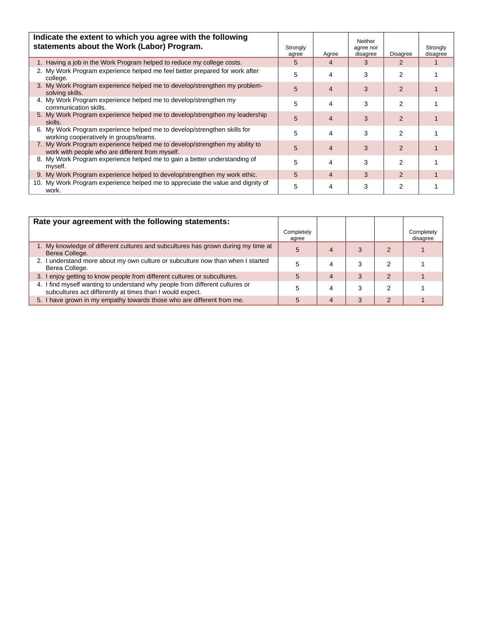| Indicate the extent to which you agree with the following<br>statements about the Work (Labor) Program.                        | Strongly<br>agree | Agree | Neither<br>agree nor<br>disagree | <b>Disagree</b> | Strongly<br>disagree |
|--------------------------------------------------------------------------------------------------------------------------------|-------------------|-------|----------------------------------|-----------------|----------------------|
| 1. Having a job in the Work Program helped to reduce my college costs.                                                         | 5                 | 4     | 3                                | $\mathcal{P}$   |                      |
| 2. My Work Program experience helped me feel better prepared for work after<br>college.                                        | 5                 | 4     | 3                                | 2               |                      |
| 3. My Work Program experience helped me to develop/strengthen my problem-<br>solving skills.                                   | 5                 | 4     | 3                                | $\overline{2}$  |                      |
| 4. My Work Program experience helped me to develop/strengthen my<br>communication skills.                                      | 5                 | 4     | 3                                | 2               |                      |
| 5. My Work Program experience helped me to develop/strengthen my leadership<br>skills.                                         | 5                 | 4     | 3                                | $\mathcal{P}$   |                      |
| 6. My Work Program experience helped me to develop/strengthen skills for<br>working cooperatively in groups/teams.             | 5                 | 4     | 3                                | 2               |                      |
| 7. My Work Program experience helped me to develop/strengthen my ability to<br>work with people who are different from myself. | 5                 | 4     | 3                                | $\overline{2}$  |                      |
| 8. My Work Program experience helped me to gain a better understanding of<br>myself.                                           | 5                 | 4     | 3                                | 2               |                      |
| 9. My Work Program experience helped to develop/strengthen my work ethic.                                                      | 5                 | 4     | 3                                | 2               |                      |
| 10. My Work Program experience helped me to appreciate the value and dignity of<br>work.                                       | 5                 | 4     | 3                                | 2               |                      |

| Rate your agreement with the following statements:                                                                                        |                     |   |   |                        |
|-------------------------------------------------------------------------------------------------------------------------------------------|---------------------|---|---|------------------------|
|                                                                                                                                           | Completely<br>agree |   |   | Completely<br>disagree |
| 1. My knowledge of different cultures and subcultures has grown during my time at<br>Berea College.                                       | 5                   |   |   |                        |
| 2. I understand more about my own culture or subculture now than when I started<br>Berea College.                                         |                     |   | 3 |                        |
| 3. I enjoy getting to know people from different cultures or subcultures.                                                                 | 5                   | 4 | 3 |                        |
| 4. I find myself wanting to understand why people from different cultures or<br>subcultures act differently at times than I would expect. |                     |   | 3 |                        |
| 5. I have grown in my empathy towards those who are different from me.                                                                    | 5                   | 4 | 3 |                        |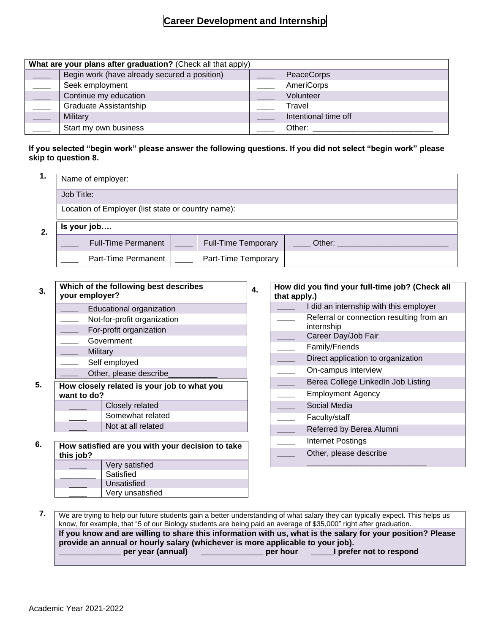### **Career Development and Internship**

| What are your plans after graduation? (Check all that apply) |  |                      |  |  |  |  |  |
|--------------------------------------------------------------|--|----------------------|--|--|--|--|--|
| Begin work (have already secured a position)                 |  | PeaceCorps           |  |  |  |  |  |
| Seek employment                                              |  | AmeriCorps           |  |  |  |  |  |
| Continue my education                                        |  | Volunteer            |  |  |  |  |  |
| Graduate Assistantship                                       |  | Travel               |  |  |  |  |  |
| Military                                                     |  | Intentional time off |  |  |  |  |  |
| Start my own business                                        |  | Other:               |  |  |  |  |  |

#### **If you selected "begin work" please answer the following questions. If you did not select "begin work" please skip to question 8.**

| <br>Name of employer:                              |                            |  |                            |        |  |  |
|----------------------------------------------------|----------------------------|--|----------------------------|--------|--|--|
| Job Title:                                         |                            |  |                            |        |  |  |
| Location of Employer (list state or country name): |                            |  |                            |        |  |  |
|                                                    | Is your job                |  |                            |        |  |  |
|                                                    | <b>Full-Time Permanent</b> |  | <b>Full-Time Temporary</b> | Other: |  |  |
|                                                    | Part-Time Permanent        |  | Part-Time Temporary        |        |  |  |

| 3. | Which of the following best describes<br>your employer? |                                                            |  |  |  |
|----|---------------------------------------------------------|------------------------------------------------------------|--|--|--|
|    | Educational organization                                |                                                            |  |  |  |
|    |                                                         | Not-for-profit organization                                |  |  |  |
|    |                                                         | For-profit organization                                    |  |  |  |
|    |                                                         | Government                                                 |  |  |  |
|    | Military                                                |                                                            |  |  |  |
|    |                                                         | Self employed                                              |  |  |  |
|    |                                                         | Other, please describe                                     |  |  |  |
| 5. |                                                         | How closely related is your job to what you<br>want to do? |  |  |  |
|    | Closely related                                         |                                                            |  |  |  |
|    | Somewhat related                                        |                                                            |  |  |  |
|    | Not at all related                                      |                                                            |  |  |  |

| 6. | How satisfied are you with your decision to take<br>this job? |                  |  |  |  |
|----|---------------------------------------------------------------|------------------|--|--|--|
|    |                                                               | Very satisfied   |  |  |  |
|    |                                                               | Satisfied        |  |  |  |
|    |                                                               | Unsatisfied      |  |  |  |
|    |                                                               | Very unsatisfied |  |  |  |

| that apply.) | How did you find your full-time job? (Check all        |
|--------------|--------------------------------------------------------|
|              | I did an internship with this employer                 |
|              | Referral or connection resulting from an<br>internship |
|              | Career Day/Job Fair                                    |
|              | Family/Friends                                         |
|              | Direct application to organization                     |
|              | On-campus interview                                    |
|              | Berea College LinkedIn Job Listing                     |
|              | Employment Agency                                      |
|              | Social Media                                           |
|              | Faculty/staff                                          |
|              | Referred by Berea Alumni                               |
|              | Internet Postings                                      |
|              | Other, please describe                                 |

 **7.** We are trying to help our future students gain a better understanding of what salary they can typically expect. This helps us know, for example, that "5 of our Biology students are being paid an average of \$35,000" right after graduation. **If you know and are willing to share this information with us, what is the salary for your position? Please provide an annual or hourly salary (whichever is more applicable to your job).** per year (annual) \_\_\_\_\_\_\_\_\_\_\_\_\_\_\_\_\_\_ per hour \_\_\_\_\_\_I prefer not to respond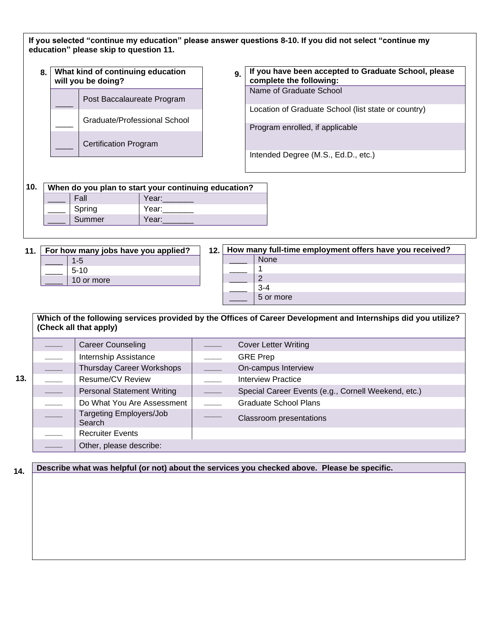|     | What kind of continuing education<br>8.<br>will you be doing? |                                                      | 9.              | If you have been accepted to Graduate School, please<br>complete the following:                                             |  |  |
|-----|---------------------------------------------------------------|------------------------------------------------------|-----------------|-----------------------------------------------------------------------------------------------------------------------------|--|--|
|     |                                                               | Post Baccalaureate Program                           |                 | Name of Graduate School                                                                                                     |  |  |
|     |                                                               | Graduate/Professional School                         |                 | Location of Graduate School (list state or country)<br>Program enrolled, if applicable                                      |  |  |
|     |                                                               | <b>Certification Program</b>                         |                 | Intended Degree (M.S., Ed.D., etc.)                                                                                         |  |  |
| 10. |                                                               | When do you plan to start your continuing education? |                 |                                                                                                                             |  |  |
|     |                                                               | Fall<br>Year:                                        |                 |                                                                                                                             |  |  |
|     |                                                               | Spring<br>Year:                                      |                 |                                                                                                                             |  |  |
|     |                                                               | Summer<br>Year:                                      |                 |                                                                                                                             |  |  |
|     |                                                               |                                                      | $3 - 4$         |                                                                                                                             |  |  |
|     |                                                               | (Check all that apply)                               |                 | 5 or more<br>Which of the following services provided by the Offices of Career Development and Internships did you utilize? |  |  |
|     |                                                               | <b>Career Counseling</b>                             |                 | <b>Cover Letter Writing</b>                                                                                                 |  |  |
|     |                                                               | Internship Assistance                                | <b>GRE Prep</b> |                                                                                                                             |  |  |
|     |                                                               | Thursday Career Workshops                            |                 | On-campus Interview                                                                                                         |  |  |
|     |                                                               | <b>Resume/CV Review</b>                              |                 | <b>Interview Practice</b>                                                                                                   |  |  |
|     |                                                               | <b>Personal Statement Writing</b>                    |                 | Special Career Events (e.g., Cornell Weekend, etc.)                                                                         |  |  |
|     |                                                               | Do What You Are Assessment                           |                 | <b>Graduate School Plans</b>                                                                                                |  |  |
|     |                                                               | <b>Targeting Employers/Job</b><br>Search             |                 | Classroom presentations                                                                                                     |  |  |
|     |                                                               | <b>Recruiter Events</b>                              |                 |                                                                                                                             |  |  |
|     |                                                               | Other, please describe:                              |                 |                                                                                                                             |  |  |

applicable

**9.**

**Graduate School, please complete** 

Location

Graduate School

School

**accepted**